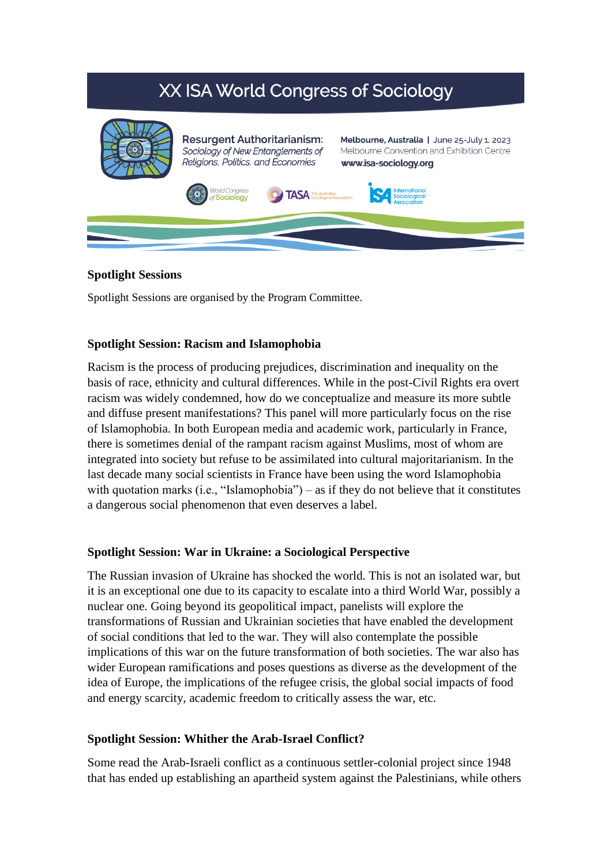# XX ISA World Congress of Sociology



## **Spotlight Sessions**

Spotlight Sessions are organised by the Program Committee.

## **Spotlight Session: Racism and Islamophobia**

Racism is the process of producing prejudices, discrimination and inequality on the basis of race, ethnicity and cultural differences. While in the post-Civil Rights era overt racism was widely condemned, how do we conceptualize and measure its more subtle and diffuse present manifestations? This panel will more particularly focus on the rise of Islamophobia. In both European media and academic work, particularly in France, there is sometimes denial of the rampant racism against Muslims, most of whom are integrated into society but refuse to be assimilated into cultural majoritarianism. In the last decade many social scientists in France have been using the word Islamophobia with quotation marks (i.e., "Islamophobia") – as if they do not believe that it constitutes a dangerous social phenomenon that even deserves a label.

## **Spotlight Session: War in Ukraine: a Sociological Perspective**

The Russian invasion of Ukraine has shocked the world. This is not an isolated war, but it is an exceptional one due to its capacity to escalate into a third World War, possibly a nuclear one. Going beyond its geopolitical impact, panelists will explore the transformations of Russian and Ukrainian societies that have enabled the development of social conditions that led to the war. They will also contemplate the possible implications of this war on the future transformation of both societies. The war also has wider European ramifications and poses questions as diverse as the development of the idea of Europe, the implications of the refugee crisis, the global social impacts of food and energy scarcity, academic freedom to critically assess the war, etc.

## **Spotlight Session: Whither the Arab-Israel Conflict?**

Some read the Arab-Israeli conflict as a continuous settler-colonial project since 1948 that has ended up establishing an apartheid system against the Palestinians, while others